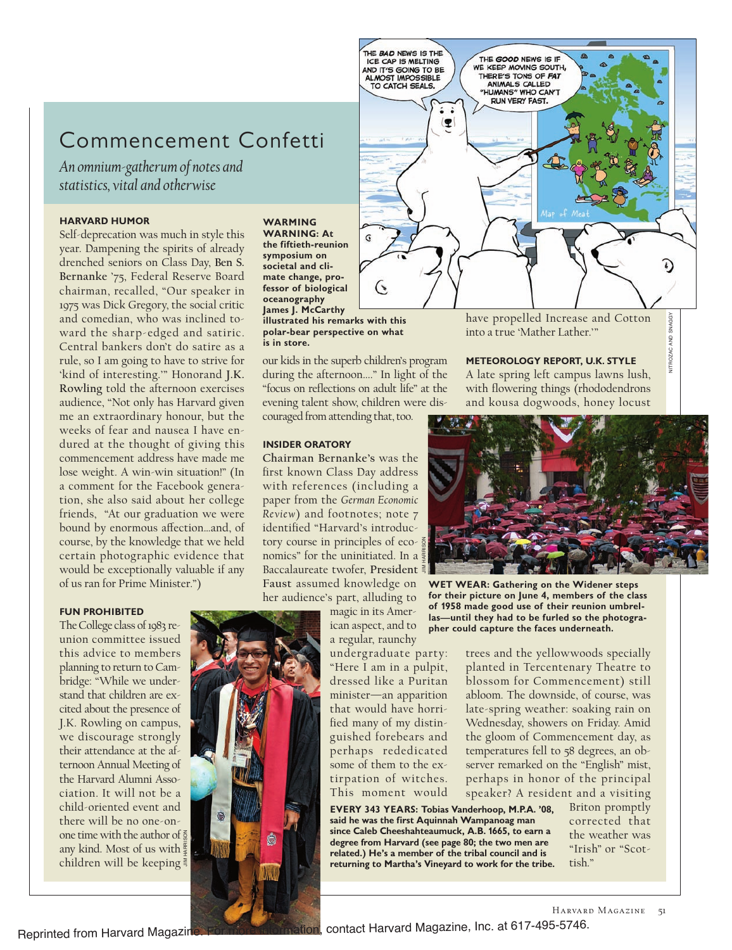# Commencement Confetti

*An omnium-gatherum of notes and statistics, vital and otherwise*

### **HARVARD HUMOR**

Self-deprecation was much in style this year. Dampening the spirits of already drenched seniors on Class Day, **Ben S. Bernanke** '75, Federal Reserve Board chairman, recalled, "Our speaker in 1975 was Dick Gregory, the social critic and comedian, who was inclined toward the sharp-edged and satiric. Central bankers don't do satire as a rule, so I am going to have to strive for 'kind of interesting.'" Honorand **J.K. Rowling** told the afternoon exercises audience, "Not only has Harvard given me an extraordinary honour, but the weeks of fear and nausea I have endured at the thought of giving this commencement address have made me lose weight. A win-win situation!" (In a comment for the Facebook generation, she also said about her college friends, "At our graduation we were bound by enormous affection...and, of course, by the knowledge that we held certain photographic evidence that would be exceptionally valuable if any of us ran for Prime Minister.")

### **FUN PROHIBITED**

The College class of 1983 reunion committee issued this advice to members planning to return to Cambridge: "While we understand that children are excited about the presence of J.K. Rowling on campus, we discourage strongly their attendance at the afternoon Annual Meeting of the Harvard Alumni Association. It will not be a child-oriented event and there will be no one-onone time with the author of  $\frac{2}{9}$ any kind. Most of us with children will be keeping

JIM HARRISON

#### **WARMING WARNING: At**

**the fiftieth-reunion symposium on societal and climate change, professor of biological oceanography James J. McCarthy illustrated his remarks with this polar-bear perspective on what is in store.**

our kids in the superb children's program during the afternoon...." In light of the "focus on reflections on adult life" at the evening talent show, children were discouraged from attending that, too.

THE BAD NEWS IS THE

AND IT'S GOING TO BE<br>ALMOST IMPOSSIBLE

TO CATCH SEALS.

 $\left| \right.$ 

### **INSIDER ORATORY**

**Chairman Bernanke's** was the first known Class Day address with references (including a paper from the *German Economic Review*) and footnotes; note 7 identified "Harvard's introductory course in principles of economics" for the uninitiated. In a Baccalaureate twofer, **President Faust** assumed knowledge on her audience's part, alluding to

> magic in its American aspect, and to

a regular, raunchy undergraduate party: "Here I am in a pulpit, dressed like a Puritan minister—an apparition that would have horrified many of my distinguished forebears and perhaps rededicated some of them to the extirpation of witches. This moment would principles of eco-  $\frac{5}{8}$ <br>
returninitiated. In a  $\frac{5}{8}$ <br>
returninitiated in a space of the **returning on**<br>
proper the **returning to**<br>
for the **returning to**<br>
integral to the **returning on**<br>
integral to the preculatio

**EVERY 343 YEARS: Tobias Vanderhoop, M.P.A. '08, said he was the first Aquinnah Wampanoag man since Caleb Cheeshahteaumuck, A.B. 1665, to earn a degree from Harvard (see page 80; the two men are related.) He's a member of the tribal council and is**

have propelled Increase and Cotton into a true 'Mather Lather.'"

NITROZAC AND SNAGGY

**JITROZAC** 

AND SNAGGY

T)

### **METEOROLOGY REPORT, U.K. STYLE**

THE GOOD NEWS IS IF WE KEEP MOVING SOUTH,

THERE'S TONS OF FAT<br>ANIMALS CALLED

"HUMANS" WHO CAN'T **RUN VERY FAST.** 

A late spring left campus lawns lush, with flowering things (rhododendrons and kousa dogwoods, honey locust



**WET WEAR: Gathering on the Widener steps for their picture on June 4, members of the class of 1958 made good use of their reunion umbrellas—until they had to be furled so the photographer could capture the faces underneath.**

trees and the yellowwoods specially planted in Tercentenary Theatre to blossom for Commencement) still abloom. The downside, of course, was late-spring weather: soaking rain on Wednesday, showers on Friday. Amid the gloom of Commencement day, as temperatures fell to 58 degrees, an observer remarked on the "English" mist, perhaps in honor of the principal speaker? A resident and a visiting

> Briton promptly corrected that the weather was "Irish" or "Scottish."